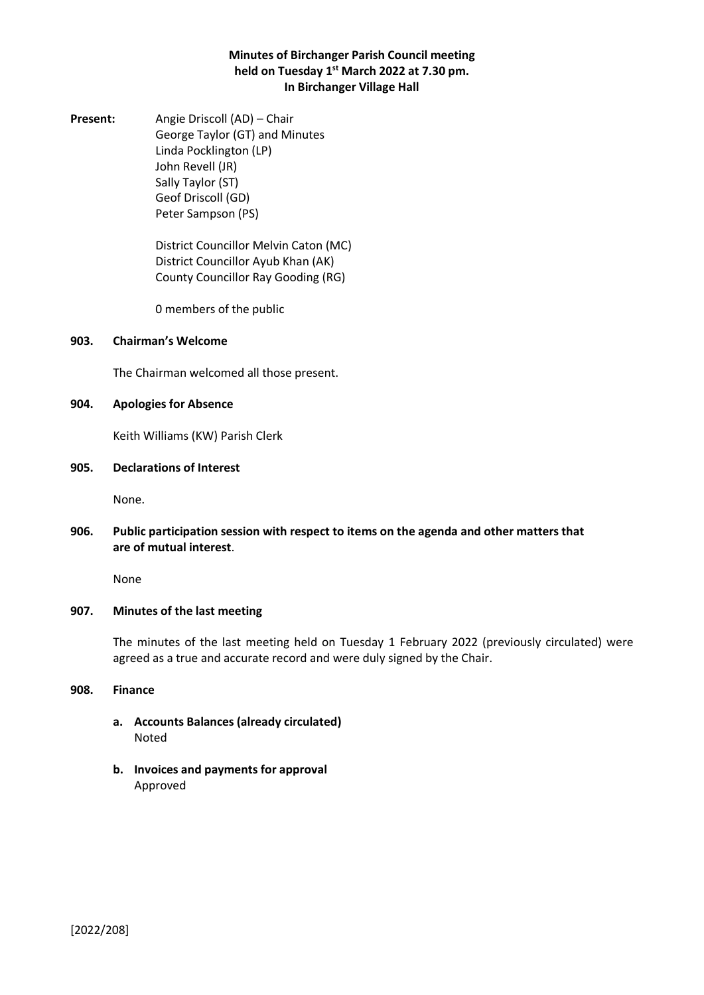# **Minutes of Birchanger Parish Council meeting held on Tuesday 1 st March 2022 at 7.30 pm. In Birchanger Village Hall**

**Present:** Angie Driscoll (AD) – Chair George Taylor (GT) and Minutes Linda Pocklington (LP) John Revell (JR) Sally Taylor (ST) Geof Driscoll (GD) Peter Sampson (PS)

> District Councillor Melvin Caton (MC) District Councillor Ayub Khan (AK) County Councillor Ray Gooding (RG)

0 members of the public

# **903. Chairman's Welcome**

The Chairman welcomed all those present.

#### **904. Apologies for Absence**

Keith Williams (KW) Parish Clerk

#### **905. Declarations of Interest**

None.

# **906. Public participation session with respect to items on the agenda and other matters that are of mutual interest**.

None

# **907. Minutes of the last meeting**

The minutes of the last meeting held on Tuesday 1 February 2022 (previously circulated) were agreed as a true and accurate record and were duly signed by the Chair.

#### **908. Finance**

- **a. Accounts Balances (already circulated)** Noted
- **b. Invoices and payments for approval** Approved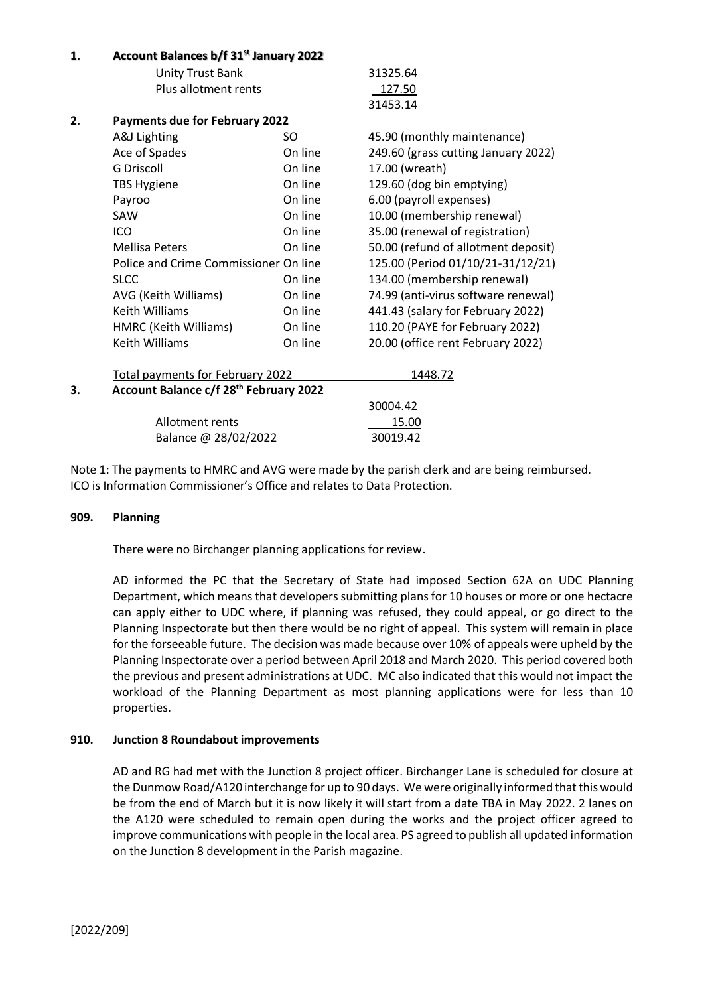| 1. | Account Balances b/f 31 <sup>st</sup> January 2022 |         |                                     |
|----|----------------------------------------------------|---------|-------------------------------------|
|    | <b>Unity Trust Bank</b>                            |         | 31325.64                            |
|    | Plus allotment rents                               |         | 127.50                              |
|    |                                                    |         | 31453.14                            |
| 2. | <b>Payments due for February 2022</b>              |         |                                     |
|    | A&J Lighting                                       | SO.     | 45.90 (monthly maintenance)         |
|    | Ace of Spades                                      | On line | 249.60 (grass cutting January 2022) |
|    | <b>G Driscoll</b>                                  | On line | 17.00 (wreath)                      |
|    | <b>TBS Hygiene</b>                                 | On line | 129.60 (dog bin emptying)           |
|    | Payroo                                             | On line | 6.00 (payroll expenses)             |
|    | SAW                                                | On line | 10.00 (membership renewal)          |
|    | ICO                                                | On line | 35.00 (renewal of registration)     |
|    | <b>Mellisa Peters</b>                              | On line | 50.00 (refund of allotment deposit) |
|    | Police and Crime Commissioner On line              |         | 125.00 (Period 01/10/21-31/12/21)   |
|    | <b>SLCC</b>                                        | On line | 134.00 (membership renewal)         |
|    | AVG (Keith Williams)                               | On line | 74.99 (anti-virus software renewal) |
|    | <b>Keith Williams</b>                              | On line | 441.43 (salary for February 2022)   |
|    | HMRC (Keith Williams)                              | On line | 110.20 (PAYE for February 2022)     |
|    | <b>Keith Williams</b>                              | On line | 20.00 (office rent February 2022)   |
|    | <b>Total payments for February 2022</b>            |         | 1448.72                             |
| 3. | Account Balance c/f 28 <sup>th</sup> February 2022 |         |                                     |
|    |                                                    |         | 30004.42                            |
|    | Allotment rents                                    |         | 15.00                               |
|    | Balance @ 28/02/2022                               |         | 30019.42                            |
|    |                                                    |         |                                     |

Note 1: The payments to HMRC and AVG were made by the parish clerk and are being reimbursed. ICO is Information Commissioner's Office and relates to Data Protection.

# **909. Planning**

There were no Birchanger planning applications for review.

AD informed the PC that the Secretary of State had imposed Section 62A on UDC Planning Department, which means that developers submitting plans for 10 houses or more or one hectacre can apply either to UDC where, if planning was refused, they could appeal, or go direct to the Planning Inspectorate but then there would be no right of appeal. This system will remain in place for the forseeable future. The decision was made because over 10% of appeals were upheld by the Planning Inspectorate over a period between April 2018 and March 2020. This period covered both the previous and present administrations at UDC. MC also indicated that this would not impact the workload of the Planning Department as most planning applications were for less than 10 properties.

# **910. Junction 8 Roundabout improvements**

AD and RG had met with the Junction 8 project officer. Birchanger Lane is scheduled for closure at the Dunmow Road/A120 interchange for up to 90 days. We were originally informed that this would be from the end of March but it is now likely it will start from a date TBA in May 2022. 2 lanes on the A120 were scheduled to remain open during the works and the project officer agreed to improve communications with people in the local area. PS agreed to publish all updated information on the Junction 8 development in the Parish magazine.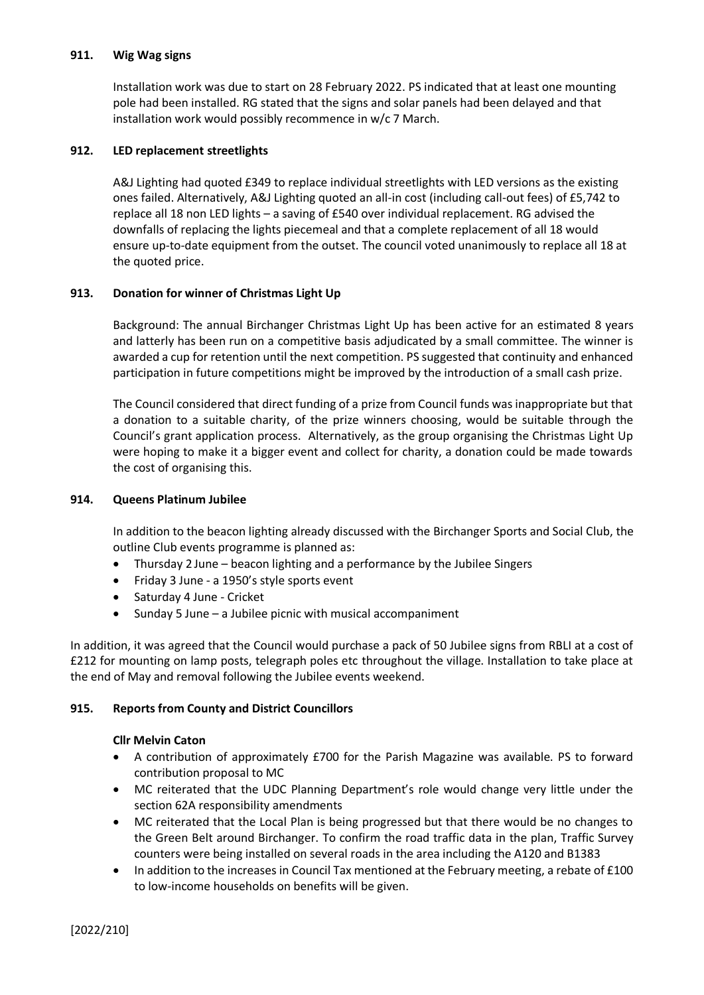# **911. Wig Wag signs**

Installation work was due to start on 28 February 2022. PS indicated that at least one mounting pole had been installed. RG stated that the signs and solar panels had been delayed and that installation work would possibly recommence in w/c 7 March.

# **912. LED replacement streetlights**

A&J Lighting had quoted £349 to replace individual streetlights with LED versions as the existing ones failed. Alternatively, A&J Lighting quoted an all-in cost (including call-out fees) of £5,742 to replace all 18 non LED lights – a saving of £540 over individual replacement. RG advised the downfalls of replacing the lights piecemeal and that a complete replacement of all 18 would ensure up-to-date equipment from the outset. The council voted unanimously to replace all 18 at the quoted price.

# **913. Donation for winner of Christmas Light Up**

Background: The annual Birchanger Christmas Light Up has been active for an estimated 8 years and latterly has been run on a competitive basis adjudicated by a small committee. The winner is awarded a cup for retention until the next competition. PS suggested that continuity and enhanced participation in future competitions might be improved by the introduction of a small cash prize.

The Council considered that direct funding of a prize from Council funds was inappropriate but that a donation to a suitable charity, of the prize winners choosing, would be suitable through the Council's grant application process. Alternatively, as the group organising the Christmas Light Up were hoping to make it a bigger event and collect for charity, a donation could be made towards the cost of organising this.

# **914. Queens Platinum Jubilee**

In addition to the beacon lighting already discussed with the Birchanger Sports and Social Club, the outline Club events programme is planned as:

- Thursday 2 June beacon lighting and a performance by the Jubilee Singers
- Friday 3 June a 1950's style sports event
- Saturday 4 June Cricket
- Sunday 5 June a Jubilee picnic with musical accompaniment

In addition, it was agreed that the Council would purchase a pack of 50 Jubilee signs from RBLI at a cost of £212 for mounting on lamp posts, telegraph poles etc throughout the village. Installation to take place at the end of May and removal following the Jubilee events weekend.

# **915. Reports from County and District Councillors**

# **Cllr Melvin Caton**

- A contribution of approximately £700 for the Parish Magazine was available. PS to forward contribution proposal to MC
- MC reiterated that the UDC Planning Department's role would change very little under the section 62A responsibility amendments
- MC reiterated that the Local Plan is being progressed but that there would be no changes to the Green Belt around Birchanger. To confirm the road traffic data in the plan, Traffic Survey counters were being installed on several roads in the area including the A120 and B1383
- In addition to the increases in Council Tax mentioned at the February meeting, a rebate of £100 to low-income households on benefits will be given.